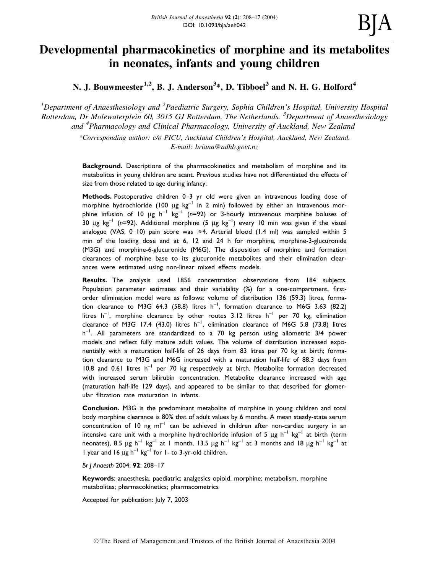# Developmental pharmacokinetics of morphine and its metabolites in neonates, infants and young children

N. J. Bouwmeester $^{1,2}$ , B. J. Anderson $^{3*}$ , D. Tibboel $^{2}$  and N. H. G. Holford $^{4}$ 

<sup>1</sup>Department of Anaesthesiology and <sup>2</sup>Paediatric Surgery, Sophia Children's Hospital, University Hospital Rotterdam, Dr Molewaterplein 60, 3015 GJ Rotterdam, The Netherlands. <sup>3</sup>Department of Anaesthesiology and <sup>4</sup>Pharmacology and Clinical Pharmacology, University of Auckland, New Zealand

> \*Corresponding author: c/o PICU, Auckland Children's Hospital, Auckland, New Zealand. E-mail: briana@adhb.govt.nz

Background. Descriptions of the pharmacokinetics and metabolism of morphine and its metabolites in young children are scant. Previous studies have not differentiated the effects of size from those related to age during infancy.

Methods. Postoperative children 0-3 yr old were given an intravenous loading dose of morphine hydrochloride (100  $\mu$ g kg<sup>-1</sup> in 2 min) followed by either an intravenous morphine infusion of 10  $\mu$ g h<sup>-1</sup> kg<sup>-1</sup> (n=92) or 3-hourly intravenous morphine boluses of 30 µg  $kg^{-1}$  (n=92). Additional morphine (5 µg  $kg^{-1}$ ) every 10 min was given if the visual analogue (VAS, 0-10) pain score was  $\geq 4$ . Arterial blood (1.4 ml) was sampled within 5 min of the loading dose and at 6, 12 and 24 h for morphine, morphine-3-glucuronide (M3G) and morphine-6-glucuronide (M6G). The disposition of morphine and formation clearances of morphine base to its glucuronide metabolites and their elimination clearances were estimated using non-linear mixed effects models.

Results. The analysis used 1856 concentration observations from 184 subjects. Population parameter estimates and their variability  $%$  for a one-compartment, firstorder elimination model were as follows: volume of distribution 136 (59.3) litres, formation clearance to M3G 64.3 (58.8) litres  $h^{-1}$ , formation clearance to M6G 3.63 (82.2) litres  $h^{-1}$ , morphine clearance by other routes 3.12 litres  $h^{-1}$  per 70 kg, elimination clearance of M3G 17.4 (43.0) litres  $h^{-1}$ , elimination clearance of M6G 5.8 (73.8) litres  $h^{-1}$ . All parameters are standardized to a 70 kg person using allometric 3/4 power models and reflect fully mature adult values. The volume of distribution increased exponentially with a maturation half-life of 26 days from 83 litres per 70 kg at birth; formation clearance to M3G and M6G increased with a maturation half-life of 88.3 days from 10.8 and 0.61 litres  $h^{-1}$  per 70 kg respectively at birth. Metabolite formation decreased with increased serum bilirubin concentration. Metabolite clearance increased with age (maturation half-life 129 days), and appeared to be similar to that described for glomerular filtration rate maturation in infants.

Conclusion. M3G is the predominant metabolite of morphine in young children and total body morphine clearance is 80% that of adult values by 6 months. A mean steady-state serum concentration of 10 ng  $m^{-1}$  can be achieved in children after non-cardiac surgery in an intensive care unit with a morphine hydrochloride infusion of 5  $\mu$ g h<sup>-1</sup> kg<sup>-1</sup> at birth (term neonates), 8.5  $\mu$ g h<sup>-1</sup> kg<sup>-1</sup> at 1 month, 13.5  $\mu$ g h<sup>-1</sup> kg<sup>-1</sup> at 3 months and 18  $\mu$ g h<sup>-1</sup> kg<sup>-1</sup> at 1 year and 16  $\mu$ g h<sup>-1</sup> kg<sup>-1</sup> for 1- to 3-yr-old children.

Br J Anaesth 2004; 92: 208-17

Keywords: anaesthesia, paediatric; analgesics opioid, morphine; metabolism, morphine metabolites; pharmacokinetics; pharmacometrics

Accepted for publication: July 7, 2003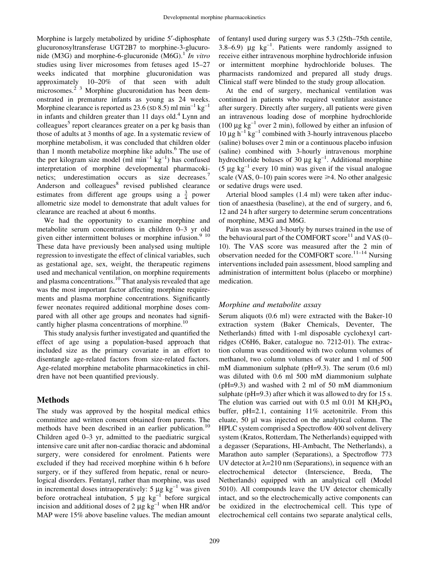Morphine is largely metabolized by uridine 5¢-diphosphate glucuronosyltransferase UGT2B7 to morphine-3-glucuronide (M3G) and morphine-6-glucuronide (M6G).<sup>1</sup> In vitro studies using liver microsomes from fetuses aged 15–27 weeks indicated that morphine glucuronidation was approximately 10-20% of that seen with adult  $\frac{1}{2}$  3 Morphine glucuronidation has been demonstrated in premature infants as young as 24 weeks. Morphine clearance is reported as 23.6 (SD 8.5) ml min<sup>-1</sup> kg<sup>-1</sup> in infants and children greater than 11 days old.<sup>4</sup> Lynn and colleagues<sup>5</sup> report clearances greater on a per kg basis than those of adults at 3 months of age. In a systematic review of morphine metabolism, it was concluded that children older than 1 month metabolize morphine like adults.<sup>6</sup> The use of the per kilogram size model (ml min<sup>-1</sup> kg<sup>-1</sup>) has confused interpretation of morphine developmental pharmacokinetics; underestimation occurs as size decreases.<sup>7</sup> Anderson and colleagues<sup>8</sup> revised published clearance estimates from different age groups using a  $\frac{3}{4}$  power allometric size model to demonstrate that adult values for clearance are reached at about 6 months.

We had the opportunity to examine morphine and metabolite serum concentrations in children 0-3 yr old given either intermittent boluses or morphine infusion.<sup>9</sup>  $10$ These data have previously been analysed using multiple regression to investigate the effect of clinical variables, such as gestational age, sex, weight, the therapeutic regimens used and mechanical ventilation, on morphine requirements and plasma concentrations.<sup>10</sup> That analysis revealed that age was the most important factor affecting morphine requirements and plasma morphine concentrations. Significantly fewer neonates required additional morphine doses compared with all other age groups and neonates had significantly higher plasma concentrations of morphine.<sup>10</sup>

This study analysis further investigated and quantified the effect of age using a population-based approach that included size as the primary covariate in an effort to disentangle age-related factors from size-related factors. Age-related morphine metabolite pharmacokinetics in children have not been quantified previously.

## Methods

The study was approved by the hospital medical ethics committee and written consent obtained from parents. The methods have been described in an earlier publication.<sup>10</sup> Children aged  $0-3$  yr, admitted to the paediatric surgical intensive care unit after non-cardiac thoracic and abdominal surgery, were considered for enrolment. Patients were excluded if they had received morphine within 6 h before surgery, or if they suffered from hepatic, renal or neurological disorders. Fentanyl, rather than morphine, was used in incremental doses intraoperatively: 5  $\mu$ g kg<sup>-1</sup> was given before orotracheal intubation, 5  $\mu$ g kg<sup>-1</sup> before surgical incision and additional doses of 2  $\mu$ g kg<sup>-1</sup> when HR and/or MAP were 15% above baseline values. The median amount

of fentanyl used during surgery was 5.3 (25th-75th centile, 3.8 $-6.9$ )  $\mu$ g kg<sup>-1</sup>. Patients were randomly assigned to receive either intravenous morphine hydrochloride infusion or intermittent morphine hydrochloride boluses. The pharmacists randomized and prepared all study drugs. Clinical staff were blinded to the study group allocation.

At the end of surgery, mechanical ventilation was continued in patients who required ventilator assistance after surgery. Directly after surgery, all patients were given an intravenous loading dose of morphine hydrochloride (100  $\mu$ g kg<sup>-1</sup> over 2 min), followed by either an infusion of 10  $\mu$ g h<sup>-1</sup> kg<sup>-1</sup> combined with 3-hourly intravenous placebo (saline) boluses over 2 min or a continuous placebo infusion (saline) combined with 3-hourly intravenous morphine hydrochloride boluses of 30  $\mu$ g kg<sup>-1</sup>. Additional morphine (5  $\mu$ g kg<sup>-1</sup> every 10 min) was given if the visual analogue scale (VAS,  $0-10$ ) pain scores were  $\geq 4$ . No other analgesic or sedative drugs were used.

Arterial blood samples (1.4 ml) were taken after induction of anaesthesia (baseline), at the end of surgery, and 6, 12 and 24 h after surgery to determine serum concentrations of morphine, M3G and M6G.

Pain was assessed 3-hourly by nurses trained in the use of the behavioural part of the COMFORT score<sup>11</sup> and VAS (0– 10). The VAS score was measured after the 2 min of observation needed for the COMFORT score.<sup>11-14</sup> Nursing interventions included pain assessment, blood sampling and administration of intermittent bolus (placebo or morphine) medication.

### Morphine and metabolite assay

Serum aliquots (0.6 ml) were extracted with the Baker-10 extraction system (Baker Chemicals, Deventer, The Netherlands) fitted with 1-ml disposable cyclohexyl cartridges (C6H6, Baker, catalogue no. 7212-01). The extraction column was conditioned with two column volumes of methanol, two column volumes of water and 1 ml of 500 mM diammonium sulphate (pH=9.3). The serum (0.6 ml) was diluted with 0.6 ml 500 mM diammonium sulphate (pH=9.3) and washed with 2 ml of 50 mM diammonium sulphate (pH=9.3) after which it was allowed to dry for 15 s. The elution was carried out with 0.5 ml 0.01 M  $KH_2PO_4$ buffer, pH=2.1, containing 11% acetonitrile. From this eluate, 50 µl was injected on the analytical column. The HPLC system comprised a Spectroflow 400 solvent delivery system (Kratos, Rotterdam, The Netherlands) equipped with a degasser (Separations, HI-Ambacht, The Netherlands), a Marathon auto sampler (Separations), a Spectroflow 773 UV detector at  $\lambda$ =210 nm (Separations), in sequence with an electrochemical detector (Interscience, Breda, The Netherlands) equipped with an analytical cell (Model 5010). All compounds leave the UV detector chemically intact, and so the electrochemically active components can be oxidized in the electrochemical cell. This type of electrochemical cell contains two separate analytical cells,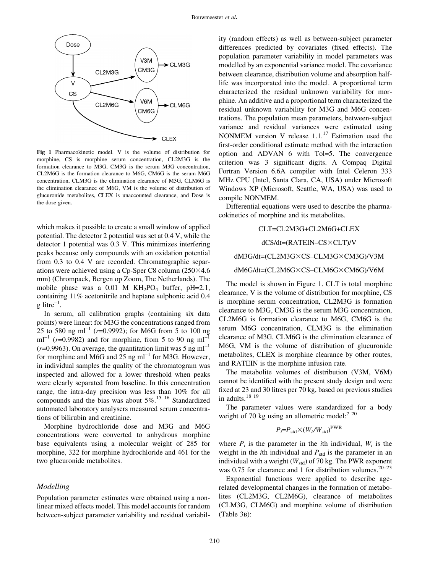

Fig 1 Pharmacokinetic model. V is the volume of distribution for morphine, CS is morphine serum concentration, CL2M3G is the formation clearance to M3G, CM3G is the serum M3G concentration, CL2M6G is the formation clearance to M6G, CM6G is the serum M6G concentration, CLM3G is the elimination clearance of M3G, CLM6G is the elimination clearance of M6G, VM is the volume of distribution of glucuronide metabolites, CLEX is unaccounted clearance, and Dose is the dose given.

which makes it possible to create a small window of applied potential. The detector 2 potential was set at 0.4 V, while the detector 1 potential was 0.3 V. This minimizes interfering peaks because only compounds with an oxidation potential from 0.3 to 0.4 V are recorded. Chromatographic separations were achieved using a Cp-Sper C8 column  $(250\times4.6$ mm) (Chrompack, Bergen op Zoom, The Netherlands). The mobile phase was a 0.01 M  $KH_2PO_4$  buffer, pH=2.1, containing 11% acetonitrile and heptane sulphonic acid 0.4 g litre $^{-1}$ .

In serum, all calibration graphs (containing six data points) were linear: for M3G the concentrations ranged from 25 to 580 ng ml<sup>-1</sup> ( $r$ =0.9992); for M6G from 5 to 100 ng  $ml^{-1}$  (r=0.9982) and for morphine, from 5 to 90 ng ml<sup>-1</sup> ( $r=0.9963$ ). On average, the quantitation limit was 5 ng ml<sup>-1</sup> for morphine and M6G and 25 ng  $ml^{-1}$  for M3G. However, in individual samples the quality of the chromatogram was inspected and allowed for a lower threshold when peaks were clearly separated from baseline. In this concentration range, the intra-day precision was less than 10% for all compounds and the bias was about  $5\%$ .<sup>15 16</sup> Standardized automated laboratory analysers measured serum concentrations of bilirubin and creatinine.

Morphine hydrochloride dose and M3G and M6G concentrations were converted to anhydrous morphine base equivalents using a molecular weight of 285 for morphine, 322 for morphine hydrochloride and 461 for the two glucuronide metabolites.

#### Modelling

Population parameter estimates were obtained using a nonlinear mixed effects model. This model accounts for random between-subject parameter variability and residual variability (random effects) as well as between-subject parameter differences predicted by covariates (fixed effects). The population parameter variability in model parameters was modelled by an exponential variance model. The covariance between clearance, distribution volume and absorption halflife was incorporated into the model. A proportional term characterized the residual unknown variability for morphine. An additive and a proportional term characterized the residual unknown variability for M3G and M6G concentrations. The population mean parameters, between-subject variance and residual variances were estimated using NONMEM version V release  $1.1$ .<sup>17</sup> Estimation used the first-order conditional estimate method with the interaction option and ADVAN 6 with Tol=5. The convergence criterion was 3 significant digits. A Compaq Digital Fortran Version 6.6A compiler with Intel Celeron 333 MHz CPU (Intel, Santa Clara, CA, USA) under Microsoft Windows XP (Microsoft, Seattle, WA, USA) was used to compile NONMEM.

Differential equations were used to describe the pharmacokinetics of morphine and its metabolites.

CLT=CL2M3G+CL2M6G+CLEX

#### $dCS/dt = (RATEIN - CS \times CLT)/V$

#### $dM3G/dt = (CL2M3G \times CS - CLM3G \times CM3G)/V3M$

#### dM6G/dt=(CL2M6G×CS-CLM6G×CM6G)/V6M

The model is shown in Figure 1. CLT is total morphine clearance, V is the volume of distribution for morphine, CS is morphine serum concentration, CL2M3G is formation clearance to M3G, CM3G is the serum M3G concentration, CL2M6G is formation clearance to M6G, CM6G is the serum M6G concentration, CLM3G is the elimination clearance of M3G, CLM6G is the elimination clearance of M6G, VM is the volume of distribution of glucuronide metabolites, CLEX is morphine clearance by other routes, and RATEIN is the morphine infusion rate.

The metabolite volumes of distribution (V3M, V6M) cannot be identified with the present study design and were fixed at 23 and 30 litres per 70 kg, based on previous studies in adults.<sup>18</sup> <sup>19</sup>

The parameter values were standardized for a body weight of 70 kg using an allometric model:<sup>7 20</sup>

$$
P_i = P_{\text{std}} \times (W_i / W_{\text{std}})^{\text{PWR}}
$$

where  $P_i$  is the parameter in the *i*th individual,  $W_i$  is the weight in the *i*th individual and  $P_{std}$  is the parameter in an individual with a weight  $(W_{std})$  of 70 kg. The PWR exponent was 0.75 for clearance and 1 for distribution volumes.<sup>20-23</sup>

Exponential functions were applied to describe agerelated developmental changes in the formation of metabolites (CL2M3G, CL2M6G), clearance of metabolites (CLM3G, CLM6G) and morphine volume of distribution (Table 3B):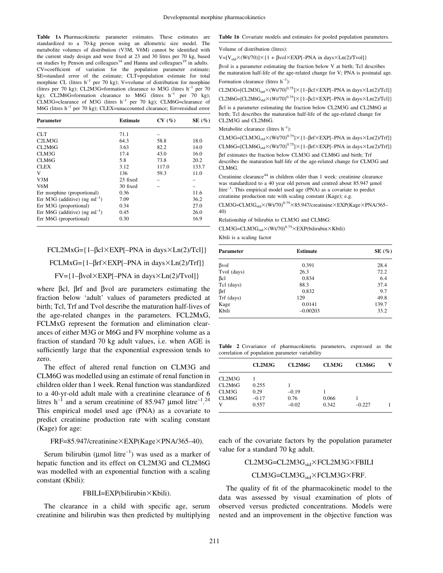Table 1A Pharmacokinetic parameter estimates. These estimates are standardized to a 70-kg person using an allometric size model. The metabolite volumes of distribution (V3M, V6M) cannot be identified with the current study design and were fixed at  $23$  and  $30$  litres per  $70$  kg, based on studies by Penson and colleagues<sup>18</sup> and Hanna and colleagues<sup>19</sup> in adults. CV=coefficient of variation for the population parameter estimate; SE=standard error of the estimate; CLT=population estimate for total morphine CL (litres  $h^{-1}$  per 70 kg); V=volume of distribution for morphine (litres per 70 kg); CL2M3G=formation clearance to M3G (litres  $h^{-1}$  per 70 kg); CL2M6G=formation clearance to M6G (litres  $h^{-1}$  per 70 kg);  $CLM3G=cleanance$  of M3G (litres  $h^{-1}$  per 70 kg); CLM6G=clearance of M6G (litres  $h^{-1}$  per 70 kg); CLEX=unaccounted clearance; Err=residual error

| Parameter                           | <b>Estimate</b> | CV(%) | SE $(\%)$ |
|-------------------------------------|-----------------|-------|-----------|
| CLT                                 | 71.1            |       |           |
| C2LM3G                              | 64.3            | 58.8  | 18.0      |
| CI.2M6G                             | 3.63            | 82.2  | 14.0      |
| CLM3G                               | 17.4            | 43.0  | 16.0      |
| CLM6G                               | 5.8             | 73.8  | 20.2      |
| <b>CLEX</b>                         | 3.12            | 117.0 | 133.7     |
| V                                   | 136             | 59.3  | 11.0      |
| V3M                                 | 23 fixed        |       |           |
| V6M                                 | 30 fixed        |       |           |
| Err morphine (proportional)         | 0.36            |       | 11.6      |
| Err M3G (additive) (ng m $l^{-1}$ ) | 7.09            |       | 36.2      |
| Err M3G (proportional)              | 0.34            |       | 27.0      |
| Err M6G (additive) (ng m $l^{-1}$ ) | 0.45            |       | 26.0      |
| Err M6G (proportional)              | 0.30            |       | 16.9      |

## $FCL2MxG=\{1-\beta c1\times EXP[-PNA \text{ in days} \times Ln(2)/Tcl]\}$ FCLMxG= $\{1-\beta r f \times EXP[-PNA \text{ in days} \times Ln(2)/Trf]\}$  $FV = \{1-\beta\text{vol}\times\text{EXP}[-PNA \text{ in days}\times\text{Ln}(2)/\text{Tvol}]\}$

where  $\beta$ cl,  $\beta$ rf and  $\beta$ vol are parameters estimating the fraction below `adult' values of parameters predicted at birth; Tcl, Trf and Tvol describe the maturation half-lives of the age-related changes in the parameters. FCL2MxG, FCLMxG represent the formation and elimination clearances of either M3G or M6G and FV morphine volume as a fraction of standard 70 kg adult values, i.e. when AGE is sufficiently large that the exponential expression tends to zero.

The effect of altered renal function on CLM3G and CLM6G was modelled using an estimate of renal function in children older than 1 week. Renal function was standardized to a 40-yr-old adult male with a creatinine clearance of 6 litres h<sup>-1</sup> and a serum creatinine of 85.947 µmol litre<sup>-1.24</sup> This empirical model used age (PNA) as a covariate to predict creatinine production rate with scaling constant (Kage) for age:

#### $FRF=85.947/c$ reatinine  $\times$  EXP(Kage  $\times$  PNA/365–40).

Serum bilirubin ( $\mu$ mol litre<sup>-1</sup>) was used as a marker of hepatic function and its effect on CL2M3G and CL2M6G was modelled with an exponential function with a scaling constant (Kbili):

#### FBILI=EXP(bilirubin×Kbili).

The clearance in a child with specific age, serum creatinine and bilirubin was then predicted by multiplying

#### Table 1B Covariate models and estimates for pooled population parameters.

Volume of distribution (litres):

 $V=[V_{std}\times(Wt/70)]\times\{1 + \beta\text{vol}\times\text{EXP}[-PNA \text{ in days}\times\text{Ln}(2)/\text{Tvol}]\}$ bvol is a parameter estimating the fraction below V at birth; Tcl describes the maturation half-life of the age-related change for V; PNA is postnatal age. Formation clearance (litres  $h^{-1}$ ):

CL2M3G=[CL2M3G<sub>std</sub> $\times$ (Wt/70)<sup>0.75</sup>] $\times$ {1-Bcl $\times$ EXP[-PNA in days $\times$ Ln(2)/Tcl]}

 $CL2M6G=[CL2M6G<sub>std</sub>×(Wt/70)<sup>0.75</sup>]×{1–}Bcl×EXP[-PNA in days×Ln(2)/Tcl]}$ bcl is a parameter estimating the fraction below CL2M3G and CL2M6G at birth; Tcl describes the maturation half-life of the age-related change for CL2M3G and CL2M6G.

Metabolite clearance (litres  $h^{-1}$ ):

CLM3G=[CLM3G<sub>std</sub> $\times$ (Wt/70)<sup>0.75</sup>] $\times$ {1- $\beta$ rf $\times$ EXP[-PNA in days $\times$ Ln(2)/Trf]}

CLM6G=[CLM6G<sub>std</sub> $\times$ (Wt/70)<sup>0.75</sup>] $\times$ {1- $\beta$ rf $\times$ EXP[-PNA in days $\times$ Ln(2)/Trf]}

brf estimates the fraction below CLM3G and CLM6G and birth; Trf describes the maturation half-life of the age-related change for CLM3G and CLM<sub>6G</sub>

Creatinine clearance<sup>44</sup> in children older than 1 week: creatinine clearance was standardized to a 40 year old person and centred about 85.947 µmol litre<sup>-1</sup>. This empirical model used age (PNA) as a covariate to predict creatinine production rate with scaling constant (Kage); e.g.

CLM3G=CLM3G<sub>std</sub> $\times$ (Wt/70)<sup>0.75</sup> $\times$ 85.947/creatinine $\times$ EXP(Kage $\times$ PNA/365= 40)

Relationship of bilirubin to CLM3G and CLM6G:

 $CLM3G=CLM3G<sub>std</sub>×(Wt/70)<sup>0.75</sup>×EXP(bilirubin×Kbili)$ 

Kbili is a scaling factor

| Parameter   | <b>Estimate</b> | SE $(\%)$ |  |
|-------------|-----------------|-----------|--|
| βvol        | 0.391           | 28.4      |  |
| Tvol (days) | 26.3            | 72.2      |  |
| βcl         | 0.834           | 6.4       |  |
| Tcl (days)  | 88.3            | 37.4      |  |
| βrf         | 0.832           | 9.7       |  |
| Trf (days)  | 129             | 49.8      |  |
| Kage        | 0.0141          | 139.7     |  |
| Kbili       | $-0.00203$      | 33.2      |  |

Table 2 Covariance of pharmacokinetic parameters, expressed as the correlation of population parameter variability

|        | CL2M3G  | CL2M6G  | <b>CLM3G</b> | CLM6G    | v |
|--------|---------|---------|--------------|----------|---|
| CL2M3G |         |         |              |          |   |
| CL2M6G | 0.255   |         |              |          |   |
| CLM3G  | 0.29    | $-0.19$ |              |          |   |
| CLM6G  | $-0.17$ | 0.76    | 0.066        |          |   |
| v      | 0.557   | $-0.02$ | 0.342        | $-0.227$ |   |
|        |         |         |              |          |   |

each of the covariate factors by the population parameter value for a standard 70 kg adult.

CL2M3G=CL2M3G<sub>std</sub>×FCL2M3G×FBILI

#### CLM3G=CLM3G<sub>std</sub>×FCLM3G×FRF.

The quality of fit of the pharmacokinetic model to the data was assessed by visual examination of plots of observed versus predicted concentrations. Models were nested and an improvement in the objective function was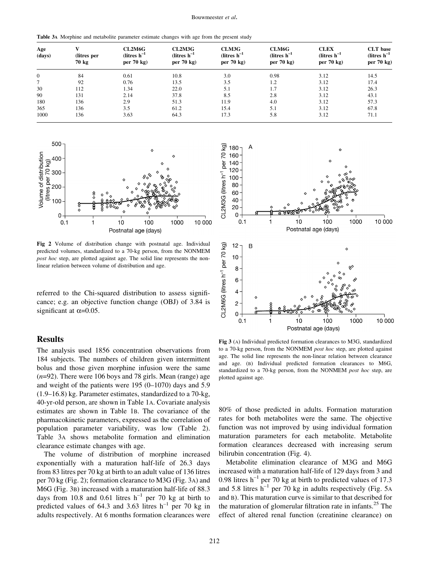Table 3A Morphine and metabolite parameter estimate changes with age from the present study

| Age<br>(days) | (litres per<br>70 kg | CL2M6G<br>(litres $h^{-1}$<br>per $70 \text{ kg}$ | CL2M3G<br>$(litres h-1)$<br>per $70 \text{ kg}$ | CLM3G<br>(litres $h^{-1}$<br>per $70 \text{ kg}$ | CLM6G<br>(litres $h^{-1}$<br>per $70 \text{ kg}$ | <b>CLEX</b><br>$(litres h-1)$<br>per $70 \text{ kg}$ | <b>CLT</b> base<br>(litres $h^{-1}$<br>per $70 \text{ kg}$ |
|---------------|----------------------|---------------------------------------------------|-------------------------------------------------|--------------------------------------------------|--------------------------------------------------|------------------------------------------------------|------------------------------------------------------------|
| $\mathbf{0}$  | 84                   | 0.61                                              | 10.8                                            | 3.0                                              | 0.98                                             | 3.12                                                 | 14.5                                                       |
| $\tau$        | 92                   | 0.76                                              | 13.5                                            | 3.5                                              | 1.2                                              | 3.12                                                 | 17.4                                                       |
| 30            | 112                  | 1.34                                              | 22.0                                            | 5.1                                              | 1.7                                              | 3.12                                                 | 26.3                                                       |
| 90            | 131                  | 2.14                                              | 37.8                                            | 8.5                                              | 2.8                                              | 3.12                                                 | 43.1                                                       |
| 180           | 136                  | 2.9                                               | 51.3                                            | 11.9                                             | 4.0                                              | 3.12                                                 | 57.3                                                       |
| 365           | 136                  | 3.5                                               | 61.2                                            | 15.4                                             | 5.1                                              | 3.12                                                 | 67.8                                                       |
| 1000          | 136                  | 3.63                                              | 64.3                                            | 17.3                                             | 5.8                                              | 3.12                                                 | 71.1                                                       |



Fig 2 Volume of distribution change with postnatal age. Individual predicted volumes, standardized to a 70-kg person, from the NONMEM post hoc step, are plotted against age. The solid line represents the nonlinear relation between volume of distribution and age.

referred to the Chi-squared distribution to assess significance; e.g. an objective function change (OBJ) of 3.84 is significant at  $\alpha$ =0.05.

## **Results**

The analysis used 1856 concentration observations from 184 subjects. The numbers of children given intermittent bolus and those given morphine infusion were the same  $(n=92)$ . There were 106 boys and 78 girls. Mean (range) age and weight of the patients were  $195 (0-1070)$  days and  $5.9$  $(1.9–16.8)$  kg. Parameter estimates, standardized to a 70-kg, 40-yr-old person, are shown in Table 1A. Covariate analysis estimates are shown in Table 1B. The covariance of the pharmacokinetic parameters, expressed as the correlation of population parameter variability, was low (Table 2). Table 3A shows metabolite formation and elimination clearance estimate changes with age.

The volume of distribution of morphine increased exponentially with a maturation half-life of 26.3 days from 83 litres per 70 kg at birth to an adult value of 136 litres per 70 kg (Fig. 2); formation clearance to M3G (Fig. 3A) and M6G (Fig. 3B) increased with a maturation half-life of 88.3 days from 10.8 and 0.61 litres  $h^{-1}$  per 70 kg at birth to predicted values of 64.3 and 3.63 litres  $h^{-1}$  per 70 kg in adults respectively. At 6 months formation clearances were



Fig 3 (A) Individual predicted formation clearances to M3G, standardized to a 70-kg person, from the NONMEM post hoc step, are plotted against age. The solid line represents the non-linear relation between clearance and age. (B) Individual predicted formation clearances to M6G, standardized to a 70-kg person, from the NONMEM post hoc step, are plotted against age.

80% of those predicted in adults. Formation maturation rates for both metabolites were the same. The objective function was not improved by using individual formation maturation parameters for each metabolite. Metabolite formation clearances decreased with increasing serum bilirubin concentration (Fig. 4).

Metabolite elimination clearance of M3G and M6G increased with a maturation half-life of 129 days from 3 and 0.98 litres  $h^{-1}$  per 70 kg at birth to predicted values of 17.3 and 5.8 litres  $h^{-1}$  per 70 kg in adults respectively (Fig. 5A) and B). This maturation curve is similar to that described for the maturation of glomerular filtration rate in infants.<sup>25</sup> The effect of altered renal function (creatinine clearance) on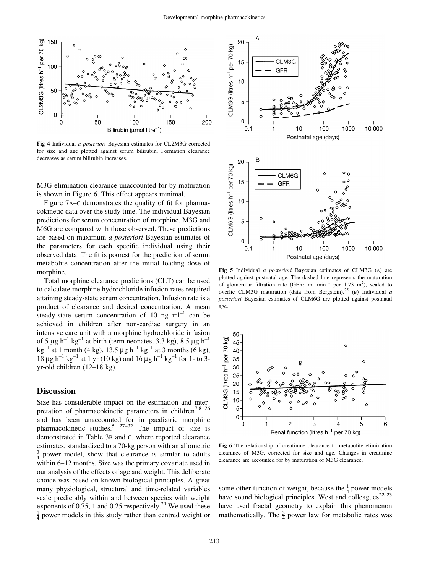

Fig 4 Individual a posteriori Bayesian estimates for CL2M3G corrected for size and age plotted against serum bilirubin. Formation clearance decreases as serum bilirubin increases.

M3G elimination clearance unaccounted for by maturation is shown in Figure 6. This effect appears minimal.

Figure 7A–C demonstrates the quality of fit for pharmacokinetic data over the study time. The individual Bayesian predictions for serum concentration of morphine, M3G and M6G are compared with those observed. These predictions are based on maximum a posteriori Bayesian estimates of the parameters for each specific individual using their observed data. The fit is poorest for the prediction of serum metabolite concentration after the initial loading dose of morphine.

Total morphine clearance predictions (CLT) can be used to calculate morphine hydrochloride infusion rates required attaining steady-state serum concentration. Infusion rate is a product of clearance and desired concentration. A mean steady-state serum concentration of 10 ng  $ml^{-1}$  can be achieved in children after non-cardiac surgery in an intensive care unit with a morphine hydrochloride infusion of 5  $\mu$ g h<sup>-1</sup> kg<sup>-1</sup> at birth (term neonates, 3.3 kg), 8.5  $\mu$ g h<sup>-1</sup>  $kg^{-1}$  at 1 month (4 kg), 13.5 µg h<sup>-1</sup> kg<sup>-1</sup> at 3 months (6 kg),  $18 \mu g h^{-1} kg^{-1}$  at 1 yr (10 kg) and 16  $\mu g h^{-1} kg^{-1}$  for 1- to 3yr-old children  $(12-18$  kg).

## **Discussion**

Size has considerable impact on the estimation and interpretation of pharmacokinetic parameters in children<sup>78</sup> 26 and has been unaccounted for in paediatric morphine pharmacokinetic studies.<sup>5 27-32</sup> The impact of size is demonstrated in Table 3B and C, where reported clearance estimates, standardized to a 70-kg person with an allometric  $\frac{3}{4}$  power model, show that clearance is similar to adults within 6–12 months. Size was the primary covariate used in our analysis of the effects of age and weight. This deliberate choice was based on known biological principles. A great many physiological, structural and time-related variables scale predictably within and between species with weight exponents of 0.75, 1 and 0.25 respectively.<sup>21</sup> We used these  $\frac{1}{4}$  power models in this study rather than centred weight or



Fig 5 Individual a posteriori Bayesian estimates of CLM3G (A) are plotted against postnatal age. The dashed line represents the maturation of glomerular filtration rate (GFR; ml min<sup>-1</sup> per 1.73 m<sup>2</sup>), scaled to overlie CLM3G maturation (data from Bergstein).<sup>25</sup> (B) Individual a posteriori Bayesian estimates of CLM6G are plotted against postnatal age.



Fig 6 The relationship of creatinine clearance to metabolite elimination clearance of M3G, corrected for size and age. Changes in creatinine clearance are accounted for by maturation of M3G clearance.

some other function of weight, because the  $\frac{1}{4}$  power models have sound biological principles. West and colleagues<sup>22 23</sup> have used fractal geometry to explain this phenomenon mathematically. The  $\frac{3}{4}$  power law for metabolic rates was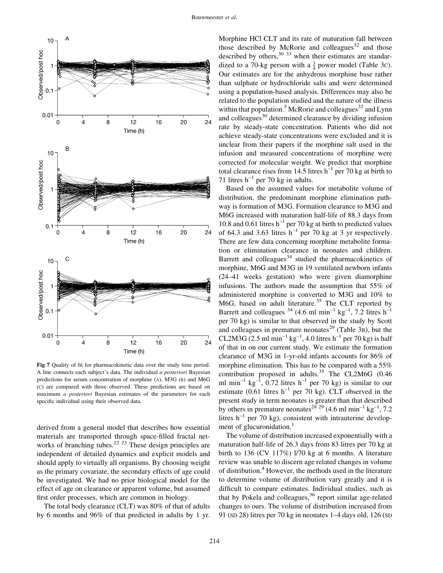

Fig 7 Quality of fit for pharmacokinetic data over the study time period. A line connects each subject's data. The individual a posteriori Bayesian predictions for serum concentration of morphine (A), M3G (B) and M6G (C) are compared with those observed. These predictions are based on maximum a posteriori Bayesian estimates of the parameters for each specific individual using their observed data.

derived from a general model that describes how essential materials are transported through space-filled fractal networks of branching tubes.<sup>22 23</sup> These design principles are independent of detailed dynamics and explicit models and should apply to virtually all organisms. By choosing weight as the primary covariate, the secondary effects of age could be investigated. We had no prior biological model for the effect of age on clearance or apparent volume, but assumed first order processes, which are common in biology.

The total body clearance (CLT) was 80% of that of adults by 6 months and 96% of that predicted in adults by 1 yr.

Morphine HCl CLT and its rate of maturation fall between those described by McRorie and colleagues $32$  and those described by others,<sup>30 33</sup> when their estimates are standardized to a 70-kg person with a  $\frac{3}{4}$  power model (Table 3c). Our estimates are for the anhydrous morphine base rather than sulphate or hydrochloride salts and were determined using a population-based analysis. Differences may also be related to the population studied and the nature of the illness within that population.<sup>5</sup> McRorie and colleagues<sup>32</sup> and Lynn and colleagues<sup>30</sup> determined clearance by dividing infusion rate by steady-state concentration. Patients who did not achieve steady-state concentrations were excluded and it is unclear from their papers if the morphine salt used in the infusion and measured concentrations of morphine were corrected for molecular weight. We predict that morphine total clearance rises from 14.5 litres  $h^{-1}$  per 70 kg at birth to 71 litres  $h^{-1}$  per 70 kg in adults.

Based on the assumed values for metabolite volume of distribution, the predominant morphine elimination pathway is formation of M3G. Formation clearance to M3G and M6G increased with maturation half-life of 88.3 days from 10.8 and 0.61 litres  $h^{-1}$  per 70 kg at birth to predicted values of 64.3 and 3.63 litres  $h^{-1}$  per 70 kg at 3 yr respectively. There are few data concerning morphine metabolite formation or elimination clearance in neonates and children. Barrett and colleagues<sup>34</sup> studied the pharmacokinetics of morphine, M6G and M3G in 19 ventilated newborn infants  $(24-41$  weeks gestation) who were given diamorphine infusions. The authors made the assumption that 55% of administered morphine is converted to M3G and 10% to M6G, based on adult literature.<sup>35</sup> The CLT reported by Barrett and colleagues  $34$  (4.6 ml min<sup>-1</sup> kg<sup>-1</sup>, 7.2 litres h<sup>-1</sup> per 70 kg) is similar to that observed in the study by Scott and colleagues in premature neonates<sup>29</sup> (Table 3B), but the CL2M3G (2.5 ml min<sup>-1</sup> kg<sup>-1</sup>, 4.0 litres h<sup>-1</sup> per 70 kg) is half of that in on our current study. We estimate the formation clearance of M3G in 1-yr-old infants accounts for 86% of morphine elimination. This has to be compared with a 55% contribution proposed in adults.<sup>35</sup> The CL2M6G  $(0.46$ ml min<sup>-1</sup> kg<sup>-1</sup>, 0.72 litres h<sup>-1</sup> per 70 kg) is similar to our estimate (0.61 litres  $h^{-1}$  per 70 kg). CLT observed in the present study in term neonates is greater than that described by others in premature neonates<sup>28</sup> <sup>29</sup> (4.6 ml min<sup>-1</sup> kg<sup>-1</sup>, 7.2 litres  $h^{-1}$  per 70 kg), consistent with intrauterine development of glucuronidation. $<sup>1</sup>$ </sup>

The volume of distribution increased exponentially with a maturation half-life of 26.3 days from 83 litres per 70 kg at birth to 136 (CV 117%) l/70 kg at 6 months. A literature review was unable to discern age related changes in volume of distribution.4 However, the methods used in the literature to determine volume of distribution vary greatly and it is difficult to compare estimates. Individual studies, such as that by Pokela and colleagues,<sup>36</sup> report similar age-related changes to ours. The volume of distribution increased from 91 (SD 28) litres per 70 kg in neonates 1-4 days old, 126 (SD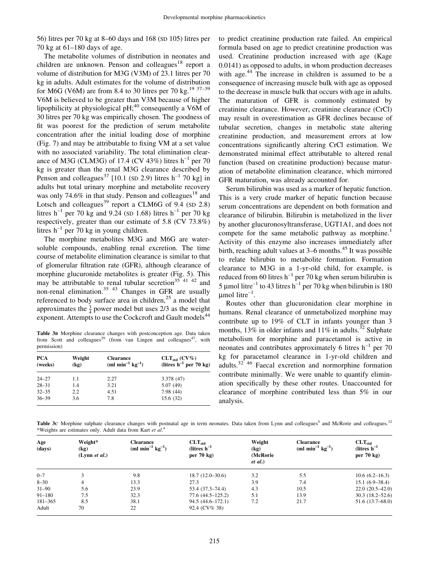56) litres per 70 kg at 8-60 days and 168 (SD 105) litres per 70 kg at  $61-180$  days of age.

The metabolite volumes of distribution in neonates and children are unknown. Penson and colleagues<sup>18</sup> report a volume of distribution for M3G (V3M) of 23.1 litres per 70 kg in adults. Adult estimates for the volume of distribution for M6G (V6M) are from 8.4 to 30 litres per 70 kg.<sup>19 37–39</sup> V6M is believed to be greater than V3M because of higher lipophilicity at physiological pH;<sup>40</sup> consequently a V6M of 30 litres per 70 kg was empirically chosen. The goodness of fit was poorest for the prediction of serum metabolite concentration after the initial loading dose of morphine  $(Fig. 7)$  and may be attributable to fixing VM at a set value with no associated variability. The total elimination clearance of M3G (CLM3G) of 17.4 (CV 43%) litres  $h^{-1}$  per 70 kg is greater than the renal M3G clearance described by Penson and colleagues<sup>37</sup> [10.1 (SD 2.9) litres  $h^{-1}$  70 kg] in adults but total urinary morphine and metabolite recovery was only 74.6% in that study. Penson and colleagues<sup>18</sup> and Lotsch and colleagues<sup>39</sup> report a CLM6G of 9.4 (SD 2.8) litres h<sup>-1</sup> per 70 kg and 9.24 (SD 1.68) litres h<sup>-1</sup> per 70 kg respectively, greater than our estimate of 5.8 (CV 73.8%) litres  $h^{-1}$  per 70 kg in young children.

The morphine metabolites M3G and M6G are watersoluble compounds, enabling renal excretion. The time course of metabolite elimination clearance is similar to that of glomerular filtration rate (GFR), although clearance of morphine glucuronide metabolites is greater (Fig. 5). This may be attributable to renal tubular secretion<sup>35 41 42</sup> and non-renal elimination.<sup>35 43</sup> Changes in GFR are usually referenced to body surface area in children,<sup>25</sup> a model that approximates the  $\frac{3}{4}$  power model but uses 2/3 as the weight exponent. Attempts to use the Cockcroft and Gault models<sup>44</sup>

Table 3B Morphine clearance changes with postconception age. Data taken from Scott and colleagues<sup>29</sup> (from van Lingen and colleagues<sup>47</sup>, with permission)

| <b>PCA</b><br>(weeks) | Weight<br>(kg) | <b>Clearance</b><br>(ml min <sup>-1</sup> $kg^{-1}$ ) | $CLT_{std} (CV\%)$<br>(litres $h^{-1}$ per 70 kg) |  |
|-----------------------|----------------|-------------------------------------------------------|---------------------------------------------------|--|
| $24 - 27$             | 1.1            | 2.27                                                  | 3.378 (47)                                        |  |
| $28 - 31$             | 1.4            | 3.21                                                  | 5.07(49)                                          |  |
| $32 - 35$             | 2.2            | 4.51                                                  | 7.98(44)                                          |  |
| $36 - 39$             | 3.6            | 7.8                                                   | 15.6 (32)                                         |  |

to predict creatinine production rate failed. An empirical formula based on age to predict creatinine production was used. Creatinine production increased with age (Kage 0.0141) as opposed to adults, in whom production decreases with age.<sup>44</sup> The increase in children is assumed to be a consequence of increasing muscle bulk with age as opposed to the decrease in muscle bulk that occurs with age in adults. The maturation of GFR is commonly estimated by creatinine clearance. However, creatinine clearance (CrCl) may result in overestimation as GFR declines because of tubular secretion, changes in metabolic state altering creatinine production, and measurement errors at low concentrations significantly altering CrCl estimation. We demonstrated minimal effect attributable to altered renal function (based on creatinine production) because maturation of metabolite elimination clearance, which mirrored GFR maturation, was already accounted for.

Serum bilirubin was used as a marker of hepatic function. This is a very crude marker of hepatic function because serum concentrations are dependent on both formation and clearance of bilirubin. Bilirubin is metabolized in the liver by another glucuronosyltransferase, UGT1A1, and does not compete for the same metabolic pathway as morphine.<sup>1</sup> Activity of this enzyme also increases immediately after birth, reaching adult values at  $3-6$  months.<sup>45</sup> It was possible to relate bilirubin to metabolite formation. Formation clearance to M3G in a 1-yr-old child, for example, is reduced from 60 litres  $h^{-1}$  per 70 kg when serum bilirubin is 5 µmol litre<sup>-1</sup> to 43 litres h<sup>-1</sup> per 70 kg when bilirubin is 180  $\mu$ mol litre<sup>-1</sup>.

Routes other than glucuronidation clear morphine in humans. Renal clearance of unmetabolized morphine may contribute up to 19% of CLT in infants younger than 3 months, 13% in older infants and 11% in adults.<sup>32</sup> Sulphate metabolism for morphine and paracetamol is active in neonates and contributes approximately 6 litres  $h^{-1}$  per 70 kg for paracetamol clearance in 1-yr-old children and adults.32 46 Faecal excretion and normorphine formation contribute minimally. We were unable to quantify elimination specifically by these other routes. Unaccounted for clearance of morphine contributed less than 5% in our analysis.

Table 3c Morphine sulphate clearance changes with postnatal age in term neonates. Data taken from Lynn and colleagues<sup>5</sup> and McRorie and colleagues.<sup>32</sup> \*Weights are estimates only. Adult data from Kart et al.<sup>4</sup>

| Age<br>(days) | Weight*<br>(kg)<br>(Lynn <i>et al.</i> ) | <b>Clearance</b><br>(ml min <sup>-1</sup> $kg^{-1}$ ) | $CLT_{std}$<br>(litres $h^{-1}$<br>per $70 \text{ kg}$ | Weight<br>(kg)<br>(McRorie)<br>et al.) | <b>Clearance</b><br>(ml min <sup>-1</sup> $kg^{-1}$ ) | $CLT_{std}$<br>$(litres h-1)$<br>per $70 \text{ kg}$ |
|---------------|------------------------------------------|-------------------------------------------------------|--------------------------------------------------------|----------------------------------------|-------------------------------------------------------|------------------------------------------------------|
| $0 - 7$       |                                          | 9.8                                                   | $18.7(12.0-30.6)$                                      | 3.2                                    | 5.5                                                   | $10.6(6.2 - 16.3)$                                   |
| $8 - 30$      | 4                                        | 13.3                                                  | 27.3                                                   | 3.9                                    | 7.4                                                   | $15.1(6.9-38.4)$                                     |
| $31 - 90$     | 5.6                                      | 23.9                                                  | $53.4(37.3 - 74.4)$                                    | 4.3                                    | 10.5                                                  | $22.0(20.5-42.0)$                                    |
| $91 - 180$    | 7.5                                      | 32.3                                                  | $77.6(44.5 - 125.2)$                                   | 5.1                                    | 13.9                                                  | $30.3(18.2 - 52.6)$                                  |
| $181 - 365$   | 8.5                                      | 38.1                                                  | $94.5(44.6 - 172.1)$                                   | 7.2                                    | 21.7                                                  | 51.6 (13.7–68.0)                                     |
| Adult         | 70                                       | 22                                                    | 92.4 (CV% 38)                                          |                                        |                                                       |                                                      |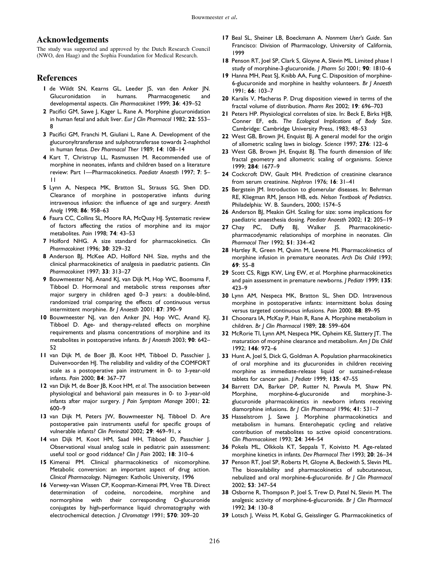## Acknowledgements

The study was supported and approved by the Dutch Research Council (NWO, den Haag) and the Sophia Foundation for Medical Research.

## References

- 1 de Wildt SN, Kearns GL, Leeder JS, van den Anker JN. Glucuronidation in humans. Pharmacogenetic and developmental aspects. Clin Pharmacokinet 1999; 36: 439-52
- 2 Pacifici GM, Sawe J, Kager L, Rane A. Morphine glucuronidation in human fetal and adult liver. Eur J Clin Pharmacol 1982;  $22: 553-$ 8
- 3 Pacifici GM, Franchi M, Giuliani L, Rane A. Development of the glucuronyltransferase and sulphotransferase towards 2-naphthol in human fetus. Dev Pharmacol Ther 1989; 14: 108-14
- 4 Kart T, Christrup LL, Rasmussen M. Recommended use of morphine in neonates, infants and children based on a literature review: Part 1-Pharmacokinetics. Paediatr Anaesth 1997; 7: 5-11
- 5 Lynn A, Nespeca MK, Bratton SL, Strauss SG, Shen DD. Clearance of morphine in postoperative infants during intravenous infusion: the influence of age and surgery. Anesth Analg 1998; 86: 958-63
- 6 Faura CC, Collins SL, Moore RA, McQuay HJ. Systematic review of factors affecting the ratios of morphine and its major metabolites. Pain 1998; 74: 43-53
- 7 Holford NHG. A size standard for pharmacokinetics. Clin Pharmacokinet 1996; 30: 329-32
- 8 Anderson BJ, McKee AD, Holford NH. Size, myths and the clinical pharmacokinetics of analgesia in paediatric patients. Clin Pharmacokinet 1997; 33: 313-27
- 9 Bouwmeester NJ, Anand KJ, van Dijk M, Hop WC, Boomsma F, Tibboel D. Hormonal and metabolic stress responses after major surgery in children aged 0-3 years: a double-blind, randomized trial comparing the effects of continuous versus intermittent morphine. Br J Anaesth 2001; 87: 390-9
- 10 Bouwmeester NJ, van den Anker JN, Hop WC, Anand KJ, Tibboel D. Age- and therapy-related effects on morphine requirements and plasma concentrations of morphine and its metabolites in postoperative infants. Br J Anaesth 2003; 90: 642-52
- 11 van Dijk M, de Boer JB, Koot HM, Tibboel D, Passchier J, Duivenvoorden HJ. The reliability and validity of the COMFORT scale as a postoperative pain instrument in 0- to 3-year-old infants. Pain 2000; 84: 367-77
- 12 van Dijk M, de Boer JB, Koot HM, et al. The association between physiological and behavioral pain measures in 0- to 3-year-old infants after major surgery. | Pain Symptom Manage 2001; 22: 600±9
- 13 van Dijk M, Peters JW, Bouwmeester NJ, Tibboel D. Are postoperative pain instruments useful for specific groups of vulnerable infants? Clin Perinatol 2002; 29: 469-91, x
- 14 van Dijk M, Koot HM, Saad HH, Tibboel D, Passchier J. Observational visual analog scale in pediatric pain assessment: useful tool or good riddance? Clin | Pain 2002; 18: 310-6
- 15 Kimenai PM. Clinical pharmacokinetics of nicomorphine. Metabolic conversion: an important aspect of drug action. Clinical Pharmacology. Nijmegen: Katholic University, 1996
- 16 Verwey-van Wissen CP, Koopman-Kimenai PM, Vree TB. Direct determination of codeine, norcodeine, morphine and normorphine with their corresponding O-glucuronide conjugates by high-performance liquid chromatography with electrochemical detection. J Chromatogr 1991; 570: 309-20
- 17 Beal SL, Sheiner LB, Boeckmann A. Nonmem User's Guide. San Francisco: Division of Pharmacology, University of California, 1999
- 18 Penson RT, Joel SP, Clark S, Gloyne A, Slevin ML. Limited phase I study of morphine-3-glucuronide. J Pharm Sci 2001; 90: 1810-6
- 19 Hanna MH, Peat SJ, Knibb AA, Fung C. Disposition of morphine-6-glucuronide and morphine in healthy volunteers. Br J Anaesth 1991; 66: 103-7
- 20 Karalis V, Macheras P. Drug disposition viewed in terms of the fractal volume of distribution. Pharm Res 2002; 19: 696-703
- 21 Peters HP. Physiological correlates of size. In: Beck E, Birks HJB, Conner EF, eds. The Ecological Implications of Body Size. Cambridge: Cambridge University Press, 1983; 48-53
- 22 West GB, Brown JH, Enquist BJ. A general model for the origin of allometric scaling laws in biology. Science 1997; 276: 122-6
- 23 West GB, Brown JH, Enquist BJ. The fourth dimension of life: fractal geometry and allometric scaling of organisms. Science 1999; 284: 1677±9
- 24 Cockcroft DW, Gault MH. Prediction of creatinine clearance from serum creatinine. Nephron 1976; 16: 31-41
- 25 Bergstein JM. Introduction to glomerular diseases. In: Behrman RE, Kliegman RM, Jenson HB, eds. Nelson Textbook of Pediatrics. Philadelphia: W. B. Saunders, 2000; 1574-5
- 26 Anderson BJ, Meakin GH. Scaling for size: some implications for paediatric anaesthesia dosing. Paediatr Anaesth 2002; 12: 205-19
- 27 Chay PC, Duffy BJ, Walker JS. Pharmacokineticpharmacodynamic relationships of morphine in neonates. Clin Pharmacol Ther 1992; 51: 334-42
- 28 Hartley R, Green M, Quinn M, Levene MI. Pharmacokinetics of morphine infusion in premature neonates. Arch Dis Child 1993; 69: 55-8
- 29 Scott CS, Riggs KW, Ling EW, et al. Morphine pharmacokinetics and pain assessment in premature newborns. J Pediatr 1999; 135: 423±9
- 30 Lynn AM, Nespeca MK, Bratton SL, Shen DD. Intravenous morphine in postoperative infants: intermittent bolus dosing versus targeted continuous infusions. Pain 2000; 88: 89-95
- 31 Choonara IA, McKay P, Hain R, Rane A. Morphine metabolism in children. Br J Clin Pharmacol 1989; 28: 599-604
- 32 McRorie TI, Lynn AM, Nespeca MK, Opheim KE, Slattery JT. The maturation of morphine clearance and metabolism. Am J Dis Child 1992; **146**: 972–6
- 33 Hunt A, Joel S, Dick G, Goldman A. Population pharmacokinetics of oral morphine and its glucuronides in children receiving morphine as immediate-release liquid or sustained-release tablets for cancer pain. J Pediatr 1999; 135: 47-55
- 34 Barrett DA, Barker DP, Rutter N, Pawula M, Shaw PN. Morphine, morphine-6-glucuronide and morphine-3 glucuronide pharmacokinetics in newborn infants receiving diamorphine infusions. Br | Clin Pharmacol 1996; 41: 531-7
- 35 Hasselstrom J, Sawe J. Morphine pharmacokinetics and metabolism in humans. Enterohepatic cycling and relative contribution of metabolites to active opioid concentrations. Clin Pharmacokinet 1993; 24: 344-54
- 36 Pokela ML, Olkkola KT, Seppala T, Koivisto M. Age-related morphine kinetics in infants. Dev Pharmacol Ther 1993; 20: 26-34
- 37 Penson RT, Joel SP, Roberts M, Gloyne A, Beckwith S, Slevin ML. The bioavailability and pharmacokinetics of subcutaneous, nebulized and oral morphine-6-glucuronide. Br J Clin Pharmacol 2002; 53: 347-54
- 38 Osborne R, Thompson P, Joel S, Trew D, Patel N, Slevin M. The analgesic activity of morphine-6-glucuronide. Br J Clin Pharmacol 1992; 34: 130-8
- 39 Lotsch J, Weiss M, Kobal G, Geisslinger G. Pharmacokinetics of